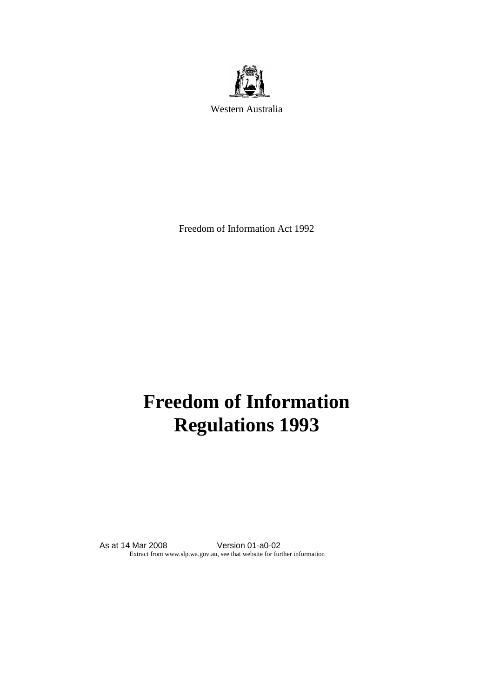

Western Australia

Freedom of Information Act 1992

# **Freedom of Information Regulations 1993**

As at 14 Mar 2008 Version 01-a0-02 Extract from www.slp.wa.gov.au, see that website for further information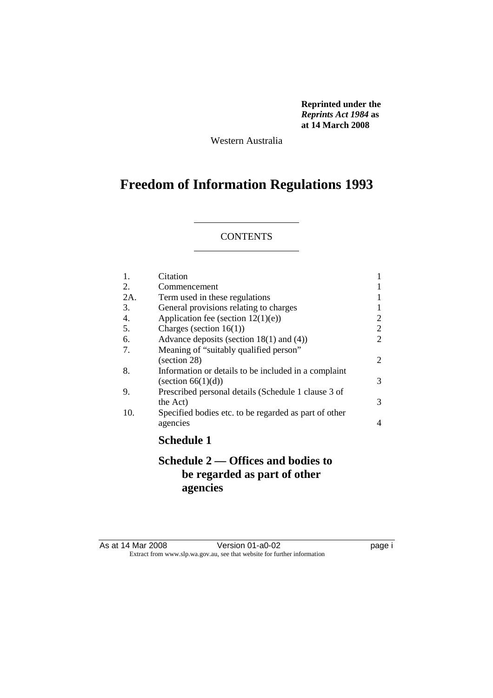**Reprinted under the**  *Reprints Act 1984* **as at 14 March 2008** 

Western Australia

# **Freedom of Information Regulations 1993**

#### **CONTENTS**

| 1.               | Citation                                              |                |
|------------------|-------------------------------------------------------|----------------|
| 2.               | Commencement                                          |                |
| 2A.              | Term used in these regulations                        |                |
| 3.               | General provisions relating to charges                |                |
| $\overline{4}$ . | Application fee (section $12(1)(e)$ )                 | 2              |
| 5.               | Charges (section $16(1)$ )                            | $\overline{2}$ |
| 6.               | Advance deposits (section $18(1)$ and $(4)$ )         | $\overline{2}$ |
| 7.               | Meaning of "suitably qualified person"                |                |
|                  | (section 28)                                          | 2              |
| 8.               | Information or details to be included in a complaint  |                |
|                  | (section $66(1)(d)$ )                                 | 3              |
| 9.               | Prescribed personal details (Schedule 1 clause 3 of   |                |
|                  | the Act)                                              | 3              |
| 10.              | Specified bodies etc. to be regarded as part of other |                |
|                  | agencies                                              | $\overline{4}$ |
|                  | <b>Schedule 1</b>                                     |                |
|                  |                                                       |                |

### **Schedule 2 — Offices and bodies to be regarded as part of other agencies**

| As at 14 Mar 2008 | Version 01-a0-02                                                         | page i |
|-------------------|--------------------------------------------------------------------------|--------|
|                   | Extract from www.slp.wa.gov.au, see that website for further information |        |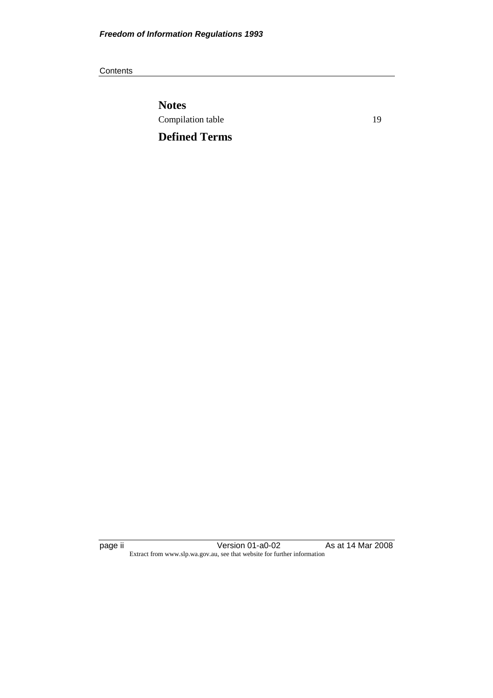**Contents** 

**Notes** Compilation table 19

**Defined Terms**

page ii Version 01-a0-02 As at 14 Mar 2008 Extract from www.slp.wa.gov.au, see that website for further information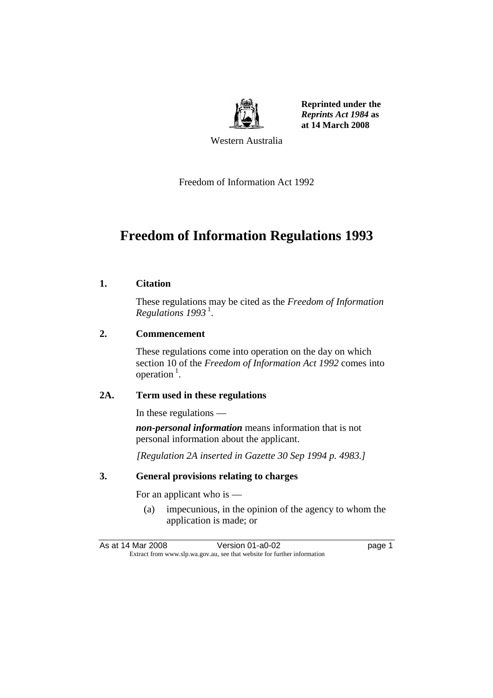

**Reprinted under the**  *Reprints Act 1984* **as at 14 March 2008** 

Western Australia

Freedom of Information Act 1992

# **Freedom of Information Regulations 1993**

#### **1. Citation**

 These regulations may be cited as the *Freedom of Information Regulations 1993*<sup>1</sup>.

#### **2. Commencement**

 These regulations come into operation on the day on which section 10 of the *Freedom of Information Act 1992* comes into operation 1.

#### **2A. Term used in these regulations**

In these regulations —

*non-personal information* means information that is not personal information about the applicant.

 *[Regulation 2A inserted in Gazette 30 Sep 1994 p. 4983.]* 

#### **3. General provisions relating to charges**

For an applicant who is —

 (a) impecunious, in the opinion of the agency to whom the application is made; or

As at 14 Mar 2008 **Version 01-a0-02 Page 1** Extract from www.slp.wa.gov.au, see that website for further information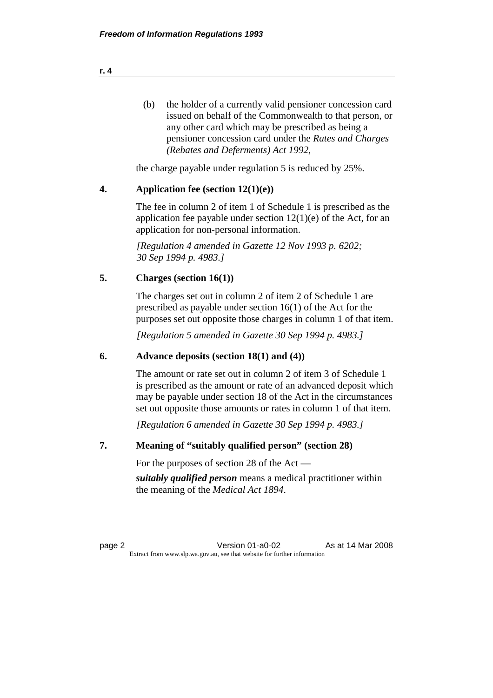(b) the holder of a currently valid pensioner concession card issued on behalf of the Commonwealth to that person, or any other card which may be prescribed as being a pensioner concession card under the *Rates and Charges (Rebates and Deferments) Act 1992*,

the charge payable under regulation 5 is reduced by 25%.

#### **4. Application fee (section 12(1)(e))**

 The fee in column 2 of item 1 of Schedule 1 is prescribed as the application fee payable under section  $12(1)(e)$  of the Act, for an application for non-personal information.

 *[Regulation 4 amended in Gazette 12 Nov 1993 p. 6202; 30 Sep 1994 p. 4983.]* 

#### **5. Charges (section 16(1))**

 The charges set out in column 2 of item 2 of Schedule 1 are prescribed as payable under section 16(1) of the Act for the purposes set out opposite those charges in column 1 of that item.

 *[Regulation 5 amended in Gazette 30 Sep 1994 p. 4983.]* 

#### **6. Advance deposits (section 18(1) and (4))**

 The amount or rate set out in column 2 of item 3 of Schedule 1 is prescribed as the amount or rate of an advanced deposit which may be payable under section 18 of the Act in the circumstances set out opposite those amounts or rates in column 1 of that item.

 *[Regulation 6 amended in Gazette 30 Sep 1994 p. 4983.]* 

#### **7. Meaning of "suitably qualified person" (section 28)**

For the purposes of section 28 of the Act —

*suitably qualified person* means a medical practitioner within the meaning of the *Medical Act 1894*.

page 2 Version 01-a0-02 As at 14 Mar 2008 Extract from www.slp.wa.gov.au, see that website for further information

**r. 4**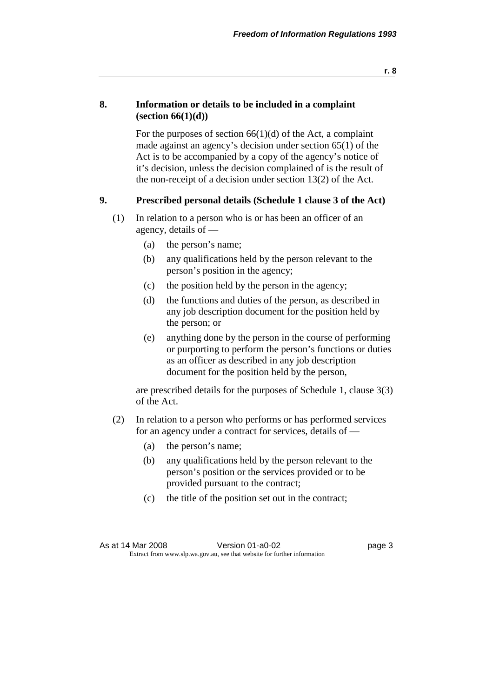#### **8. Information or details to be included in a complaint (section 66(1)(d))**

For the purposes of section  $66(1)(d)$  of the Act, a complaint made against an agency's decision under section 65(1) of the Act is to be accompanied by a copy of the agency's notice of it's decision, unless the decision complained of is the result of the non-receipt of a decision under section 13(2) of the Act.

#### **9. Prescribed personal details (Schedule 1 clause 3 of the Act)**

- (1) In relation to a person who is or has been an officer of an agency, details of —
	- (a) the person's name;
	- (b) any qualifications held by the person relevant to the person's position in the agency;
	- (c) the position held by the person in the agency;
	- (d) the functions and duties of the person, as described in any job description document for the position held by the person; or
	- (e) anything done by the person in the course of performing or purporting to perform the person's functions or duties as an officer as described in any job description document for the position held by the person,

 are prescribed details for the purposes of Schedule 1, clause 3(3) of the Act.

- (2) In relation to a person who performs or has performed services for an agency under a contract for services, details of —
	- (a) the person's name;
	- (b) any qualifications held by the person relevant to the person's position or the services provided or to be provided pursuant to the contract;
	- (c) the title of the position set out in the contract;

As at 14 Mar 2008 **Version 01-a0-02 page 3** Extract from www.slp.wa.gov.au, see that website for further information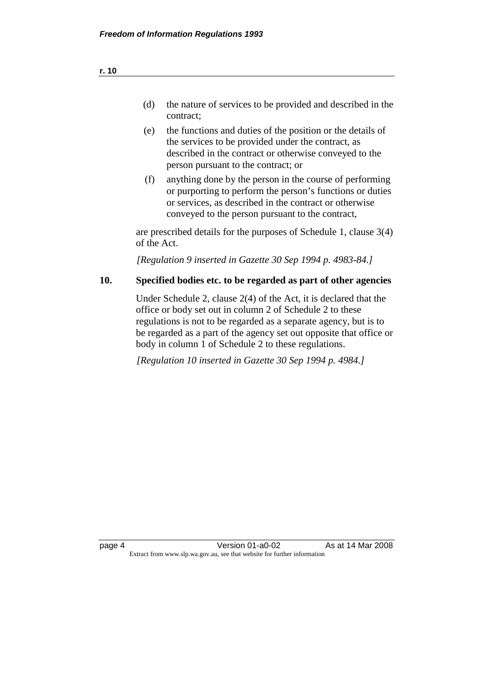- (d) the nature of services to be provided and described in the contract;
- (e) the functions and duties of the position or the details of the services to be provided under the contract, as described in the contract or otherwise conveyed to the person pursuant to the contract; or
- (f) anything done by the person in the course of performing or purporting to perform the person's functions or duties or services, as described in the contract or otherwise conveyed to the person pursuant to the contract,

 are prescribed details for the purposes of Schedule 1, clause 3(4) of the Act.

 *[Regulation 9 inserted in Gazette 30 Sep 1994 p. 4983-84.]* 

#### **10. Specified bodies etc. to be regarded as part of other agencies**

 Under Schedule 2, clause 2(4) of the Act, it is declared that the office or body set out in column 2 of Schedule 2 to these regulations is not to be regarded as a separate agency, but is to be regarded as a part of the agency set out opposite that office or body in column 1 of Schedule 2 to these regulations.

 *[Regulation 10 inserted in Gazette 30 Sep 1994 p. 4984.]* 

**r. 10**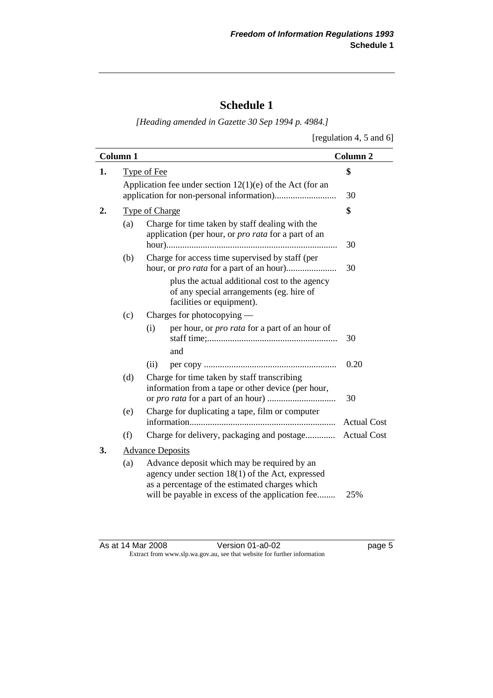### **Schedule 1**

 *[Heading amended in Gazette 30 Sep 1994 p. 4984.]* 

| [regulation 4, 5 and 6] |  |  |  |
|-------------------------|--|--|--|
|-------------------------|--|--|--|

|                | <b>Column 2</b><br><b>Column 1</b> |                                                                                                                                                                                                         |                    |
|----------------|------------------------------------|---------------------------------------------------------------------------------------------------------------------------------------------------------------------------------------------------------|--------------------|
| 1.             |                                    | <b>Type of Fee</b>                                                                                                                                                                                      | \$                 |
|                |                                    | Application fee under section $12(1)(e)$ of the Act (for an                                                                                                                                             | 30                 |
| $\mathbf{2}$ . |                                    | <b>Type of Charge</b>                                                                                                                                                                                   | \$                 |
|                | (a)                                | Charge for time taken by staff dealing with the<br>application (per hour, or <i>pro rata</i> for a part of an                                                                                           | 30                 |
|                | (b)                                | Charge for access time supervised by staff (per<br>plus the actual additional cost to the agency<br>of any special arrangements (eg. hire of<br>facilities or equipment).                               | 30                 |
|                | (c)                                | Charges for photocopying —<br>per hour, or <i>pro rata</i> for a part of an hour of<br>(i)<br>and                                                                                                       | 30                 |
|                | (d)                                | (ii)<br>Charge for time taken by staff transcribing<br>information from a tape or other device (per hour,                                                                                               | 0.20<br>30         |
|                | (e)                                | Charge for duplicating a tape, film or computer                                                                                                                                                         | <b>Actual Cost</b> |
|                | (f)                                | Charge for delivery, packaging and postage                                                                                                                                                              | <b>Actual Cost</b> |
| 3.             | <b>Advance Deposits</b>            |                                                                                                                                                                                                         |                    |
|                | (a)                                | Advance deposit which may be required by an<br>agency under section $18(1)$ of the Act, expressed<br>as a percentage of the estimated charges which<br>will be payable in excess of the application fee | 25%                |

As at 14 Mar 2008 Version 01-a0-02 page 5 Extract from www.slp.wa.gov.au, see that website for further information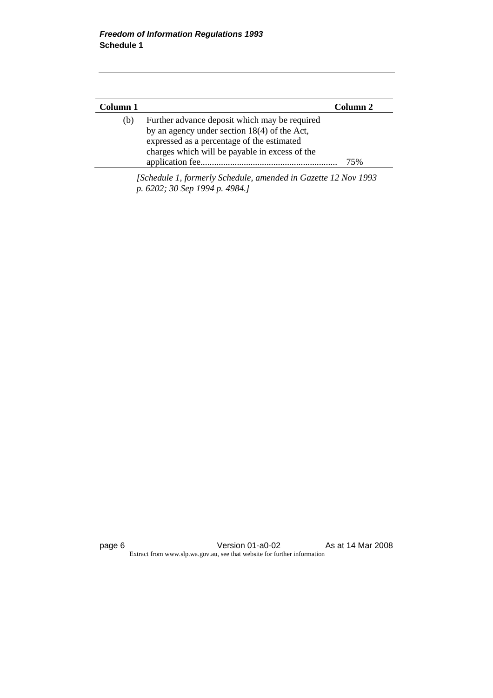|                                                | Column <sub>2</sub> |
|------------------------------------------------|---------------------|
| Further advance deposit which may be required  |                     |
| by an agency under section $18(4)$ of the Act, |                     |
| expressed as a percentage of the estimated     |                     |
| charges which will be payable in excess of the |                     |
|                                                | 75%                 |
|                                                |                     |

 *[Schedule 1, formerly Schedule, amended in Gazette 12 Nov 1993 p. 6202; 30 Sep 1994 p. 4984.]* 

page 6 **Version 01-a0-02** As at 14 Mar 2008 Extract from www.slp.wa.gov.au, see that website for further information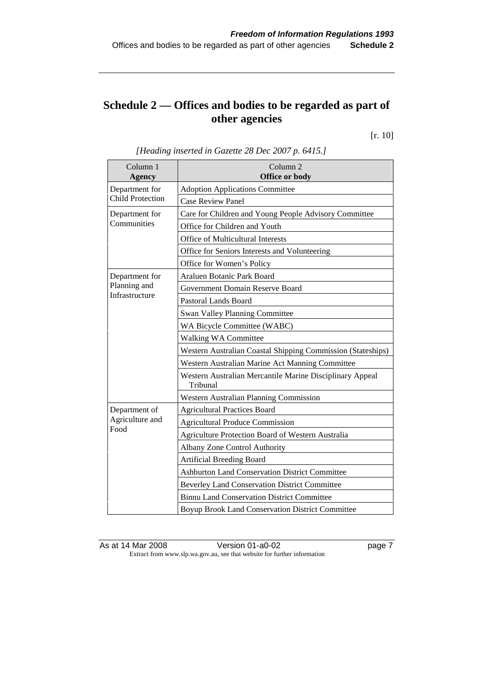## **Schedule 2 — Offices and bodies to be regarded as part of other agencies**

[r. 10]

| Column 1                                  | Column <sub>2</sub>                                                  |
|-------------------------------------------|----------------------------------------------------------------------|
| <b>Agency</b>                             | Office or body                                                       |
| Department for<br><b>Child Protection</b> | <b>Adoption Applications Committee</b>                               |
|                                           | <b>Case Review Panel</b>                                             |
| Department for                            | Care for Children and Young People Advisory Committee                |
| Communities                               | Office for Children and Youth                                        |
|                                           | <b>Office of Multicultural Interests</b>                             |
|                                           | Office for Seniors Interests and Volunteering                        |
|                                           | Office for Women's Policy                                            |
| Department for                            | <b>Araluen Botanic Park Board</b>                                    |
| Planning and                              | Government Domain Reserve Board                                      |
| Infrastructure                            | <b>Pastoral Lands Board</b>                                          |
|                                           | Swan Valley Planning Committee                                       |
|                                           | WA Bicycle Committee (WABC)                                          |
|                                           | Walking WA Committee                                                 |
|                                           | Western Australian Coastal Shipping Commission (Stateships)          |
|                                           | Western Australian Marine Act Manning Committee                      |
|                                           | Western Australian Mercantile Marine Disciplinary Appeal<br>Tribunal |
|                                           | Western Australian Planning Commission                               |
| Department of                             | <b>Agricultural Practices Board</b>                                  |
| Agriculture and                           | <b>Agricultural Produce Commission</b>                               |
| Food                                      | Agriculture Protection Board of Western Australia                    |
|                                           | <b>Albany Zone Control Authority</b>                                 |
|                                           | <b>Artificial Breeding Board</b>                                     |
|                                           | <b>Ashburton Land Conservation District Committee</b>                |
|                                           | <b>Beverley Land Conservation District Committee</b>                 |
|                                           | <b>Binnu Land Conservation District Committee</b>                    |
|                                           | Boyup Brook Land Conservation District Committee                     |

#### *[Heading inserted in Gazette 28 Dec 2007 p. 6415.]*

As at 14 Mar 2008 **Version 01-a0-02 Page 7 page 7** Extract from www.slp.wa.gov.au, see that website for further information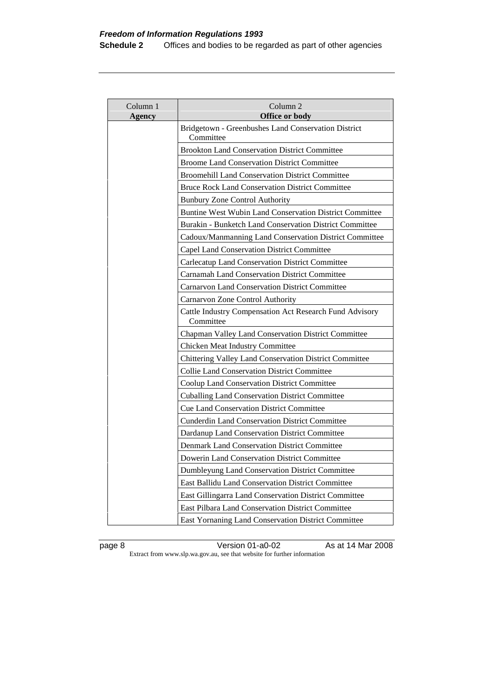| Column 1<br><b>Agency</b> | Column 2<br>Office or body                                           |
|---------------------------|----------------------------------------------------------------------|
|                           | Bridgetown - Greenbushes Land Conservation District<br>Committee     |
|                           | <b>Brookton Land Conservation District Committee</b>                 |
|                           | <b>Broome Land Conservation District Committee</b>                   |
|                           | <b>Broomehill Land Conservation District Committee</b>               |
|                           | <b>Bruce Rock Land Conservation District Committee</b>               |
|                           | <b>Bunbury Zone Control Authority</b>                                |
|                           | Buntine West Wubin Land Conservation District Committee              |
|                           | Burakin - Bunketch Land Conservation District Committee              |
|                           | Cadoux/Manmanning Land Conservation District Committee               |
|                           | Capel Land Conservation District Committee                           |
|                           | Carlecatup Land Conservation District Committee                      |
|                           | <b>Carnamah Land Conservation District Committee</b>                 |
|                           | <b>Carnarvon Land Conservation District Committee</b>                |
|                           | Carnarvon Zone Control Authority                                     |
|                           | Cattle Industry Compensation Act Research Fund Advisory<br>Committee |
|                           | Chapman Valley Land Conservation District Committee                  |
|                           | <b>Chicken Meat Industry Committee</b>                               |
|                           | Chittering Valley Land Conservation District Committee               |
|                           | <b>Collie Land Conservation District Committee</b>                   |
|                           | Coolup Land Conservation District Committee                          |
|                           | <b>Cuballing Land Conservation District Committee</b>                |
|                           | <b>Cue Land Conservation District Committee</b>                      |
|                           | <b>Cunderdin Land Conservation District Committee</b>                |
|                           | Dardanup Land Conservation District Committee                        |
|                           | Denmark Land Conservation District Committee                         |
|                           | Dowerin Land Conservation District Committee                         |
|                           | Dumbleyung Land Conservation District Committee                      |
|                           | East Ballidu Land Conservation District Committee                    |
|                           | East Gillingarra Land Conservation District Committee                |
|                           | <b>East Pilbara Land Conservation District Committee</b>             |
|                           | East Yornaning Land Conservation District Committee                  |

page 8 Version 01-a0-02 As at 14 Mar 2008 Extract from www.slp.wa.gov.au, see that website for further information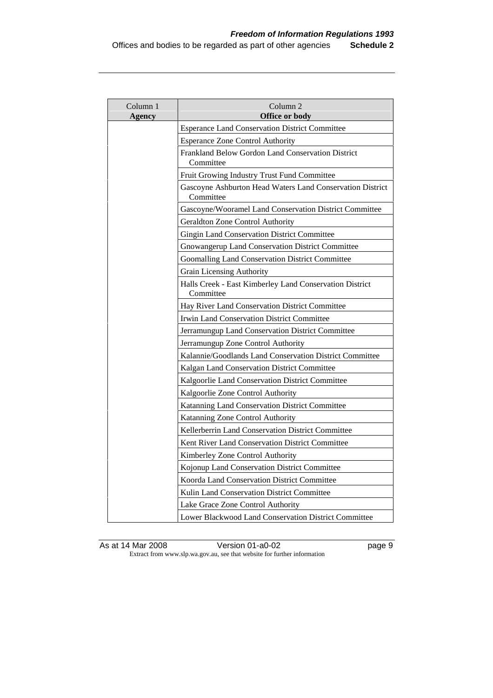| Column 1<br><b>Agency</b> | Column <sub>2</sub><br>Office or body                                  |
|---------------------------|------------------------------------------------------------------------|
|                           | <b>Esperance Land Conservation District Committee</b>                  |
|                           | <b>Esperance Zone Control Authority</b>                                |
|                           | <b>Frankland Below Gordon Land Conservation District</b><br>Committee  |
|                           | Fruit Growing Industry Trust Fund Committee                            |
|                           | Gascoyne Ashburton Head Waters Land Conservation District<br>Committee |
|                           | Gascoyne/Wooramel Land Conservation District Committee                 |
|                           | Geraldton Zone Control Authority                                       |
|                           | <b>Gingin Land Conservation District Committee</b>                     |
|                           | Gnowangerup Land Conservation District Committee                       |
|                           | <b>Goomalling Land Conservation District Committee</b>                 |
|                           | Grain Licensing Authority                                              |
|                           | Halls Creek - East Kimberley Land Conservation District<br>Committee   |
|                           | Hay River Land Conservation District Committee                         |
|                           | <b>Irwin Land Conservation District Committee</b>                      |
|                           | Jerramungup Land Conservation District Committee                       |
|                           | Jerramungup Zone Control Authority                                     |
|                           | Kalannie/Goodlands Land Conservation District Committee                |
|                           | Kalgan Land Conservation District Committee                            |
|                           | Kalgoorlie Land Conservation District Committee                        |
|                           | Kalgoorlie Zone Control Authority                                      |
|                           | Katanning Land Conservation District Committee                         |
|                           | Katanning Zone Control Authority                                       |
|                           | <b>Kellerberrin Land Conservation District Committee</b>               |
|                           | Kent River Land Conservation District Committee                        |
|                           | Kimberley Zone Control Authority                                       |
|                           | Kojonup Land Conservation District Committee                           |
|                           | Koorda Land Conservation District Committee                            |
|                           | Kulin Land Conservation District Committee                             |
|                           | Lake Grace Zone Control Authority                                      |
|                           | Lower Blackwood Land Conservation District Committee                   |

As at 14 Mar 2008 Version 01-a0-02 page 9 Extract from www.slp.wa.gov.au, see that website for further information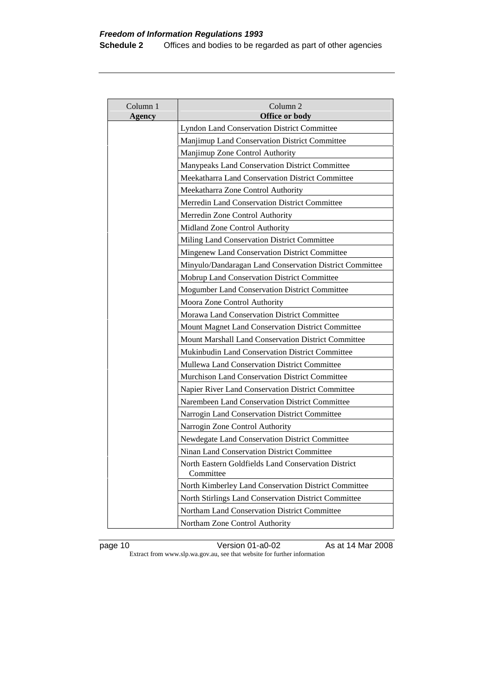| Column 1<br><b>Agency</b> | Column 2<br>Office or body                                       |
|---------------------------|------------------------------------------------------------------|
|                           | <b>Lyndon Land Conservation District Committee</b>               |
|                           | Manjimup Land Conservation District Committee                    |
|                           | Manjimup Zone Control Authority                                  |
|                           | Manypeaks Land Conservation District Committee                   |
|                           | <b>Meekatharra Land Conservation District Committee</b>          |
|                           | Meekatharra Zone Control Authority                               |
|                           | <b>Merredin Land Conservation District Committee</b>             |
|                           | Merredin Zone Control Authority                                  |
|                           | Midland Zone Control Authority                                   |
|                           | Miling Land Conservation District Committee                      |
|                           | Mingenew Land Conservation District Committee                    |
|                           | Minyulo/Dandaragan Land Conservation District Committee          |
|                           | Mobrup Land Conservation District Committee                      |
|                           | Mogumber Land Conservation District Committee                    |
|                           | Moora Zone Control Authority                                     |
|                           | <b>Morawa Land Conservation District Committee</b>               |
|                           | Mount Magnet Land Conservation District Committee                |
|                           | Mount Marshall Land Conservation District Committee              |
|                           | Mukinbudin Land Conservation District Committee                  |
|                           | <b>Mullewa Land Conservation District Committee</b>              |
|                           | Murchison Land Conservation District Committee                   |
|                           | Napier River Land Conservation District Committee                |
|                           | Narembeen Land Conservation District Committee                   |
|                           | Narrogin Land Conservation District Committee                    |
|                           | Narrogin Zone Control Authority                                  |
|                           | Newdegate Land Conservation District Committee                   |
|                           | Ninan Land Conservation District Committee                       |
|                           | North Eastern Goldfields Land Conservation District<br>Committee |
|                           | North Kimberley Land Conservation District Committee             |
|                           | North Stirlings Land Conservation District Committee             |
|                           | <b>Northam Land Conservation District Committee</b>              |
|                           | Northam Zone Control Authority                                   |

page 10 Version 01-a0-02 As at 14 Mar 2008 Extract from www.slp.wa.gov.au, see that website for further information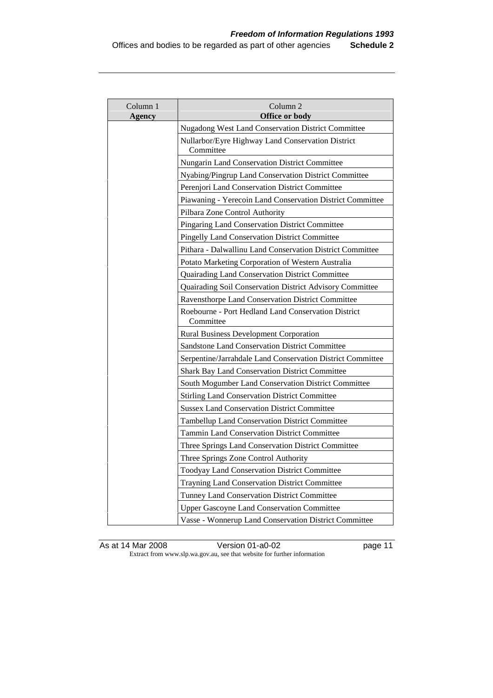| Column 1<br>Agency | Column <sub>2</sub><br>Office or body                            |
|--------------------|------------------------------------------------------------------|
|                    | <b>Nugadong West Land Conservation District Committee</b>        |
|                    | Nullarbor/Eyre Highway Land Conservation District<br>Committee   |
|                    | Nungarin Land Conservation District Committee                    |
|                    | Nyabing/Pingrup Land Conservation District Committee             |
|                    | Perenjori Land Conservation District Committee                   |
|                    | Piawaning - Yerecoin Land Conservation District Committee        |
|                    | Pilbara Zone Control Authority                                   |
|                    | Pingaring Land Conservation District Committee                   |
|                    | <b>Pingelly Land Conservation District Committee</b>             |
|                    | Pithara - Dalwallinu Land Conservation District Committee        |
|                    | Potato Marketing Corporation of Western Australia                |
|                    | Quairading Land Conservation District Committee                  |
|                    | Quairading Soil Conservation District Advisory Committee         |
|                    | Ravensthorpe Land Conservation District Committee                |
|                    | Roebourne - Port Hedland Land Conservation District<br>Committee |
|                    | <b>Rural Business Development Corporation</b>                    |
|                    | <b>Sandstone Land Conservation District Committee</b>            |
|                    | Serpentine/Jarrahdale Land Conservation District Committee       |
|                    | Shark Bay Land Conservation District Committee                   |
|                    | South Mogumber Land Conservation District Committee              |
|                    | <b>Stirling Land Conservation District Committee</b>             |
|                    | <b>Sussex Land Conservation District Committee</b>               |
|                    | Tambellup Land Conservation District Committee                   |
|                    | <b>Tammin Land Conservation District Committee</b>               |
|                    | Three Springs Land Conservation District Committee               |
|                    | Three Springs Zone Control Authority                             |
|                    | Toodyay Land Conservation District Committee                     |
|                    | <b>Trayning Land Conservation District Committee</b>             |
|                    | Tunney Land Conservation District Committee                      |
|                    | <b>Upper Gascoyne Land Conservation Committee</b>                |
|                    | Vasse - Wonnerup Land Conservation District Committee            |

As at 14 Mar 2008 Version 01-a0-02 page 11 Extract from www.slp.wa.gov.au, see that website for further information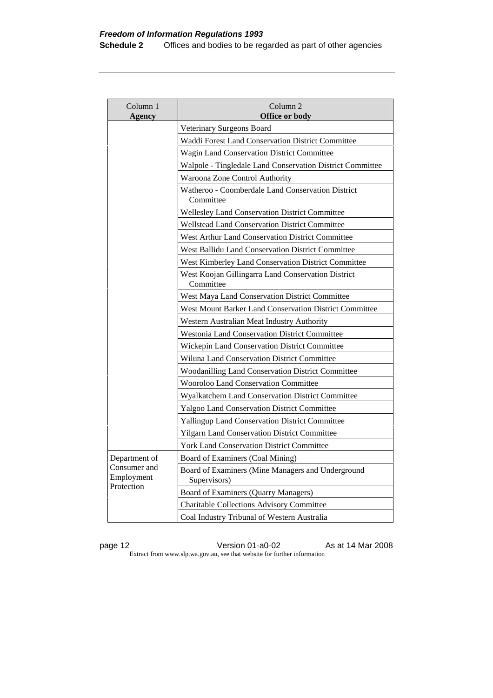| Column 1<br>Agency         | Column 2<br><b>Office or body</b>                                 |
|----------------------------|-------------------------------------------------------------------|
|                            | Veterinary Surgeons Board                                         |
|                            | Waddi Forest Land Conservation District Committee                 |
|                            | <b>Wagin Land Conservation District Committee</b>                 |
|                            | Walpole - Tingledale Land Conservation District Committee         |
|                            | Waroona Zone Control Authority                                    |
|                            | Watheroo - Coomberdale Land Conservation District<br>Committee    |
|                            | <b>Wellesley Land Conservation District Committee</b>             |
|                            | <b>Wellstead Land Conservation District Committee</b>             |
|                            | West Arthur Land Conservation District Committee                  |
|                            | West Ballidu Land Conservation District Committee                 |
|                            | West Kimberley Land Conservation District Committee               |
|                            | West Koojan Gillingarra Land Conservation District<br>Committee   |
|                            | West Maya Land Conservation District Committee                    |
|                            | West Mount Barker Land Conservation District Committee            |
|                            | Western Australian Meat Industry Authority                        |
|                            | <b>Westonia Land Conservation District Committee</b>              |
|                            | Wickepin Land Conservation District Committee                     |
|                            | Wiluna Land Conservation District Committee                       |
|                            | Woodanilling Land Conservation District Committee                 |
|                            | <b>Wooroloo Land Conservation Committee</b>                       |
|                            | <b>Wyalkatchem Land Conservation District Committee</b>           |
|                            | Yalgoo Land Conservation District Committee                       |
|                            | <b>Yallingup Land Conservation District Committee</b>             |
|                            | Yilgarn Land Conservation District Committee                      |
|                            | <b>York Land Conservation District Committee</b>                  |
| Department of              | Board of Examiners (Coal Mining)                                  |
| Consumer and<br>Employment | Board of Examiners (Mine Managers and Underground<br>Supervisors) |
| Protection                 | Board of Examiners (Quarry Managers)                              |
|                            | Charitable Collections Advisory Committee                         |
|                            | Coal Industry Tribunal of Western Australia                       |

page 12 Version 01-a0-02 As at 14 Mar 2008 Extract from www.slp.wa.gov.au, see that website for further information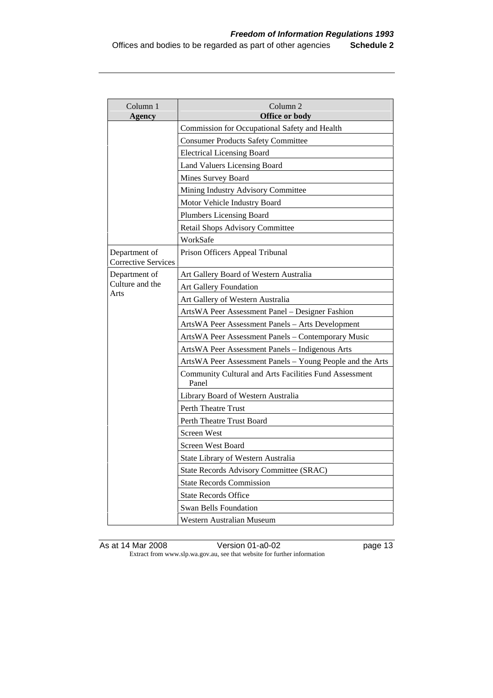| Column 1<br><b>Agency</b>                   | Column <sub>2</sub><br>Office or body                           |
|---------------------------------------------|-----------------------------------------------------------------|
|                                             | Commission for Occupational Safety and Health                   |
|                                             | <b>Consumer Products Safety Committee</b>                       |
|                                             | <b>Electrical Licensing Board</b>                               |
|                                             | Land Valuers Licensing Board                                    |
|                                             | Mines Survey Board                                              |
|                                             | Mining Industry Advisory Committee                              |
|                                             | Motor Vehicle Industry Board                                    |
|                                             | <b>Plumbers Licensing Board</b>                                 |
|                                             | Retail Shops Advisory Committee                                 |
|                                             | WorkSafe                                                        |
| Department of<br><b>Corrective Services</b> | Prison Officers Appeal Tribunal                                 |
| Department of                               | Art Gallery Board of Western Australia                          |
| Culture and the                             | <b>Art Gallery Foundation</b>                                   |
| Arts                                        | Art Gallery of Western Australia                                |
|                                             | ArtsWA Peer Assessment Panel - Designer Fashion                 |
|                                             | ArtsWA Peer Assessment Panels - Arts Development                |
|                                             | ArtsWA Peer Assessment Panels - Contemporary Music              |
|                                             | ArtsWA Peer Assessment Panels - Indigenous Arts                 |
|                                             | ArtsWA Peer Assessment Panels - Young People and the Arts       |
|                                             | Community Cultural and Arts Facilities Fund Assessment<br>Panel |
|                                             | Library Board of Western Australia                              |
|                                             | <b>Perth Theatre Trust</b>                                      |
|                                             | Perth Theatre Trust Board                                       |
|                                             | <b>Screen West</b>                                              |
|                                             | Screen West Board                                               |
|                                             | State Library of Western Australia                              |
|                                             | State Records Advisory Committee (SRAC)                         |
|                                             | <b>State Records Commission</b>                                 |
|                                             | <b>State Records Office</b>                                     |
|                                             | <b>Swan Bells Foundation</b>                                    |
|                                             | Western Australian Museum                                       |

As at 14 Mar 2008 Version 01-a0-02 page 13 Extract from www.slp.wa.gov.au, see that website for further information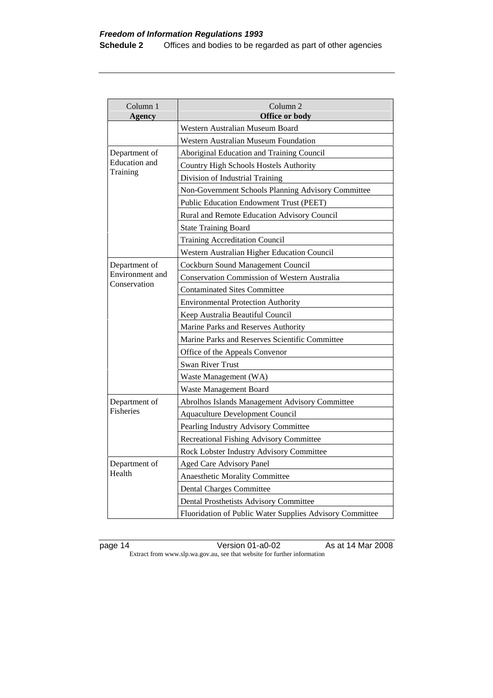| Column 1<br><b>Agency</b>        | Column <sub>2</sub><br>Office or body                    |
|----------------------------------|----------------------------------------------------------|
|                                  | Western Australian Museum Board                          |
|                                  | Western Australian Museum Foundation                     |
| Department of                    | Aboriginal Education and Training Council                |
| <b>Education</b> and             | Country High Schools Hostels Authority                   |
| Training                         | Division of Industrial Training                          |
|                                  | Non-Government Schools Planning Advisory Committee       |
|                                  | <b>Public Education Endowment Trust (PEET)</b>           |
|                                  | Rural and Remote Education Advisory Council              |
|                                  | <b>State Training Board</b>                              |
|                                  | <b>Training Accreditation Council</b>                    |
|                                  | Western Australian Higher Education Council              |
| Department of<br>Environment and | Cockburn Sound Management Council                        |
|                                  | <b>Conservation Commission of Western Australia</b>      |
| Conservation                     | <b>Contaminated Sites Committee</b>                      |
|                                  | <b>Environmental Protection Authority</b>                |
|                                  | Keep Australia Beautiful Council                         |
|                                  | Marine Parks and Reserves Authority                      |
|                                  | Marine Parks and Reserves Scientific Committee           |
|                                  | Office of the Appeals Convenor                           |
|                                  | <b>Swan River Trust</b>                                  |
|                                  | Waste Management (WA)                                    |
|                                  | Waste Management Board                                   |
| Department of                    | Abrolhos Islands Management Advisory Committee           |
| <b>Fisheries</b>                 | <b>Aquaculture Development Council</b>                   |
|                                  | Pearling Industry Advisory Committee                     |
|                                  | <b>Recreational Fishing Advisory Committee</b>           |
|                                  | Rock Lobster Industry Advisory Committee                 |
| Department of                    | <b>Aged Care Advisory Panel</b>                          |
| Health                           | Anaesthetic Morality Committee                           |
|                                  | <b>Dental Charges Committee</b>                          |
|                                  | Dental Prosthetists Advisory Committee                   |
|                                  | Fluoridation of Public Water Supplies Advisory Committee |

page 14 Version 01-a0-02 As at 14 Mar 2008 Extract from www.slp.wa.gov.au, see that website for further information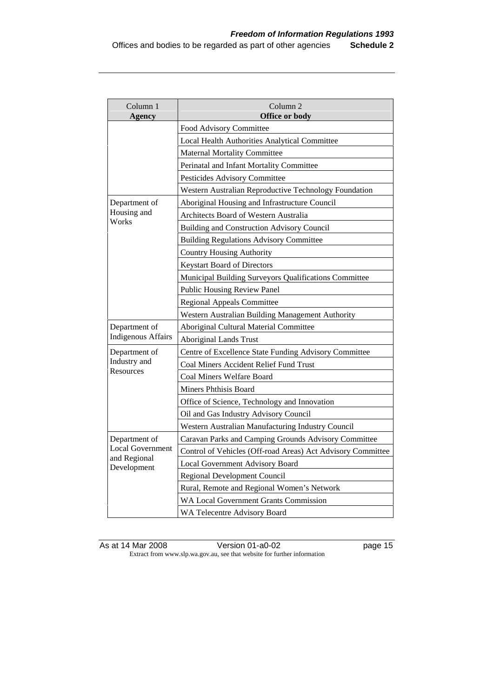| Column 1<br><b>Agency</b>   | Column <sub>2</sub><br>Office or body                       |
|-----------------------------|-------------------------------------------------------------|
|                             | Food Advisory Committee                                     |
|                             | Local Health Authorities Analytical Committee               |
|                             | <b>Maternal Mortality Committee</b>                         |
|                             | Perinatal and Infant Mortality Committee                    |
|                             | Pesticides Advisory Committee                               |
|                             | Western Australian Reproductive Technology Foundation       |
| Department of               | Aboriginal Housing and Infrastructure Council               |
| Housing and                 | Architects Board of Western Australia                       |
| Works                       | <b>Building and Construction Advisory Council</b>           |
|                             | <b>Building Regulations Advisory Committee</b>              |
|                             | <b>Country Housing Authority</b>                            |
|                             | <b>Keystart Board of Directors</b>                          |
|                             | Municipal Building Surveyors Qualifications Committee       |
|                             | <b>Public Housing Review Panel</b>                          |
|                             | <b>Regional Appeals Committee</b>                           |
|                             | Western Australian Building Management Authority            |
| Department of               | Aboriginal Cultural Material Committee                      |
| <b>Indigenous Affairs</b>   | <b>Aboriginal Lands Trust</b>                               |
| Department of               | Centre of Excellence State Funding Advisory Committee       |
| Industry and                | Coal Miners Accident Relief Fund Trust                      |
| <b>Resources</b>            | <b>Coal Miners Welfare Board</b>                            |
|                             | Miners Phthisis Board                                       |
|                             | Office of Science, Technology and Innovation                |
|                             | Oil and Gas Industry Advisory Council                       |
|                             | Western Australian Manufacturing Industry Council           |
| Department of               | Caravan Parks and Camping Grounds Advisory Committee        |
| Local Government            | Control of Vehicles (Off-road Areas) Act Advisory Committee |
| and Regional<br>Development | Local Government Advisory Board                             |
|                             | <b>Regional Development Council</b>                         |
|                             | Rural, Remote and Regional Women's Network                  |
|                             | <b>WA Local Government Grants Commission</b>                |
|                             | WA Telecentre Advisory Board                                |

As at 14 Mar 2008 Version 01-a0-02 page 15 Extract from www.slp.wa.gov.au, see that website for further information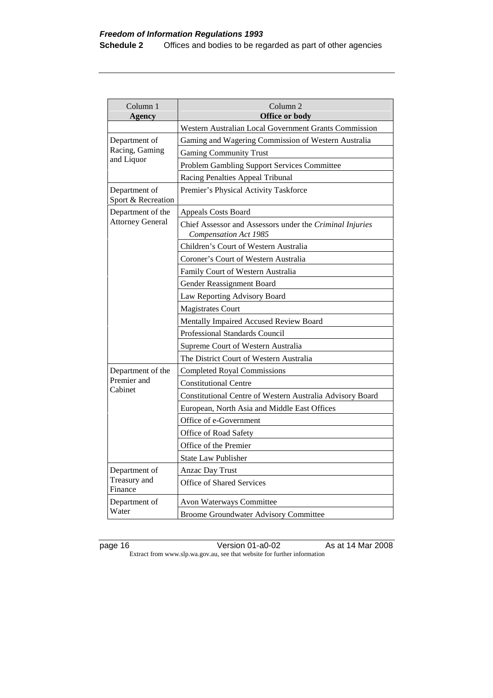| Column 1<br>Agency                  | Column <sub>2</sub><br>Office or body                                                    |  |  |
|-------------------------------------|------------------------------------------------------------------------------------------|--|--|
|                                     | Western Australian Local Government Grants Commission                                    |  |  |
| Department of                       | Gaming and Wagering Commission of Western Australia                                      |  |  |
| Racing, Gaming                      | <b>Gaming Community Trust</b>                                                            |  |  |
| and Liquor                          | Problem Gambling Support Services Committee                                              |  |  |
|                                     | Racing Penalties Appeal Tribunal                                                         |  |  |
| Department of<br>Sport & Recreation | Premier's Physical Activity Taskforce                                                    |  |  |
| Department of the                   | <b>Appeals Costs Board</b>                                                               |  |  |
| <b>Attorney General</b>             | Chief Assessor and Assessors under the Criminal Injuries<br><b>Compensation Act 1985</b> |  |  |
|                                     | Children's Court of Western Australia                                                    |  |  |
|                                     | Coroner's Court of Western Australia                                                     |  |  |
|                                     | Family Court of Western Australia                                                        |  |  |
|                                     | Gender Reassignment Board                                                                |  |  |
|                                     | Law Reporting Advisory Board                                                             |  |  |
|                                     | <b>Magistrates Court</b>                                                                 |  |  |
|                                     | Mentally Impaired Accused Review Board                                                   |  |  |
|                                     | Professional Standards Council                                                           |  |  |
|                                     | Supreme Court of Western Australia                                                       |  |  |
|                                     | The District Court of Western Australia                                                  |  |  |
| Department of the                   | <b>Completed Royal Commissions</b>                                                       |  |  |
| Premier and                         | <b>Constitutional Centre</b>                                                             |  |  |
| Cabinet                             | Constitutional Centre of Western Australia Advisory Board                                |  |  |
|                                     | European, North Asia and Middle East Offices                                             |  |  |
|                                     | Office of e-Government                                                                   |  |  |
|                                     | Office of Road Safety                                                                    |  |  |
|                                     | Office of the Premier                                                                    |  |  |
|                                     | <b>State Law Publisher</b>                                                               |  |  |
| Department of                       | <b>Anzac Day Trust</b>                                                                   |  |  |
| Treasury and<br>Finance             | Office of Shared Services                                                                |  |  |
| Department of                       | Avon Waterways Committee                                                                 |  |  |
| Water                               | <b>Broome Groundwater Advisory Committee</b>                                             |  |  |

page 16 Version 01-a0-02 As at 14 Mar 2008 Extract from www.slp.wa.gov.au, see that website for further information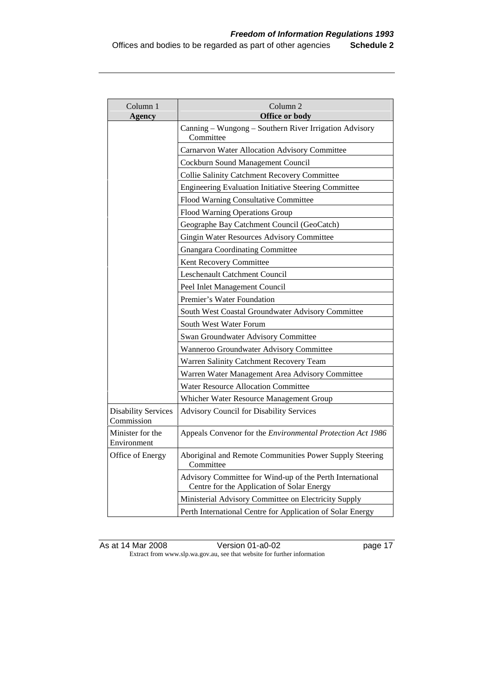| Column 1<br><b>Agency</b>                | Column 2<br>Office or body                                                                              |  |  |  |
|------------------------------------------|---------------------------------------------------------------------------------------------------------|--|--|--|
|                                          | Canning - Wungong - Southern River Irrigation Advisory<br>Committee                                     |  |  |  |
|                                          | Carnarvon Water Allocation Advisory Committee                                                           |  |  |  |
|                                          | Cockburn Sound Management Council                                                                       |  |  |  |
|                                          | <b>Collie Salinity Catchment Recovery Committee</b>                                                     |  |  |  |
|                                          | <b>Engineering Evaluation Initiative Steering Committee</b>                                             |  |  |  |
|                                          | Flood Warning Consultative Committee                                                                    |  |  |  |
|                                          | Flood Warning Operations Group                                                                          |  |  |  |
|                                          | Geographe Bay Catchment Council (GeoCatch)                                                              |  |  |  |
|                                          | Gingin Water Resources Advisory Committee                                                               |  |  |  |
|                                          | <b>Gnangara Coordinating Committee</b>                                                                  |  |  |  |
|                                          | Kent Recovery Committee                                                                                 |  |  |  |
|                                          | Leschenault Catchment Council                                                                           |  |  |  |
|                                          | Peel Inlet Management Council                                                                           |  |  |  |
|                                          | Premier's Water Foundation                                                                              |  |  |  |
|                                          | South West Coastal Groundwater Advisory Committee                                                       |  |  |  |
|                                          | South West Water Forum                                                                                  |  |  |  |
|                                          | Swan Groundwater Advisory Committee                                                                     |  |  |  |
|                                          | Wanneroo Groundwater Advisory Committee                                                                 |  |  |  |
|                                          | Warren Salinity Catchment Recovery Team                                                                 |  |  |  |
|                                          | Warren Water Management Area Advisory Committee                                                         |  |  |  |
|                                          | <b>Water Resource Allocation Committee</b>                                                              |  |  |  |
|                                          | Whicher Water Resource Management Group                                                                 |  |  |  |
| <b>Disability Services</b><br>Commission | <b>Advisory Council for Disability Services</b>                                                         |  |  |  |
| Minister for the<br>Environment          | Appeals Convenor for the Environmental Protection Act 1986                                              |  |  |  |
| Office of Energy                         | Aboriginal and Remote Communities Power Supply Steering<br>Committee                                    |  |  |  |
|                                          | Advisory Committee for Wind-up of the Perth International<br>Centre for the Application of Solar Energy |  |  |  |
|                                          | Ministerial Advisory Committee on Electricity Supply                                                    |  |  |  |
|                                          | Perth International Centre for Application of Solar Energy                                              |  |  |  |

As at 14 Mar 2008 Version 01-a0-02 page 17 Extract from www.slp.wa.gov.au, see that website for further information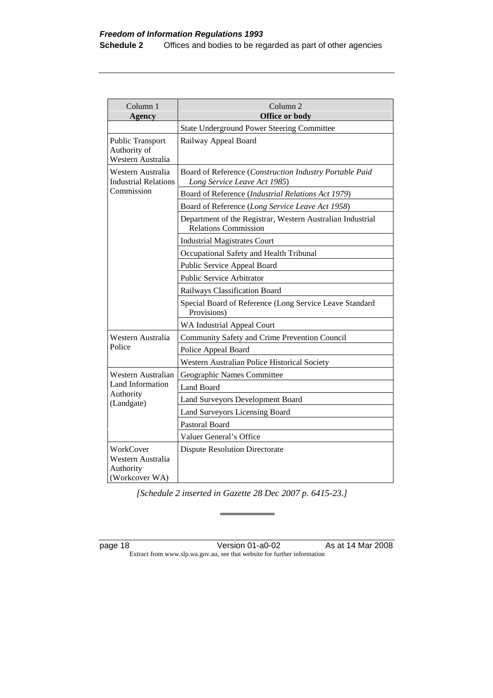| Column 1<br><b>Agency</b>                                                | Column 2<br>Office or body                                                                |  |  |  |
|--------------------------------------------------------------------------|-------------------------------------------------------------------------------------------|--|--|--|
|                                                                          | <b>State Underground Power Steering Committee</b>                                         |  |  |  |
| <b>Public Transport</b><br>Authority of<br>Western Australia             | Railway Appeal Board                                                                      |  |  |  |
| Western Australia<br><b>Industrial Relations</b>                         | Board of Reference (Construction Industry Portable Paid<br>Long Service Leave Act 1985)   |  |  |  |
| Commission                                                               | Board of Reference (Industrial Relations Act 1979)                                        |  |  |  |
|                                                                          | Board of Reference (Long Service Leave Act 1958)                                          |  |  |  |
|                                                                          | Department of the Registrar, Western Australian Industrial<br><b>Relations Commission</b> |  |  |  |
|                                                                          | <b>Industrial Magistrates Court</b>                                                       |  |  |  |
|                                                                          | Occupational Safety and Health Tribunal                                                   |  |  |  |
|                                                                          | Public Service Appeal Board                                                               |  |  |  |
|                                                                          | <b>Public Service Arbitrator</b>                                                          |  |  |  |
|                                                                          | Railways Classification Board                                                             |  |  |  |
|                                                                          | Special Board of Reference (Long Service Leave Standard<br>Provisions)                    |  |  |  |
|                                                                          | WA Industrial Appeal Court                                                                |  |  |  |
| Western Australia                                                        | Community Safety and Crime Prevention Council                                             |  |  |  |
| Police                                                                   | Police Appeal Board                                                                       |  |  |  |
|                                                                          | Western Australian Police Historical Society                                              |  |  |  |
| Western Australian<br><b>Land Information</b><br>Authority<br>(Landgate) | Geographic Names Committee                                                                |  |  |  |
|                                                                          | Land Board                                                                                |  |  |  |
|                                                                          | Land Surveyors Development Board                                                          |  |  |  |
|                                                                          | Land Surveyors Licensing Board                                                            |  |  |  |
|                                                                          | <b>Pastoral Board</b>                                                                     |  |  |  |
|                                                                          | Valuer General's Office                                                                   |  |  |  |
| WorkCover<br>Western Australia<br>Authority<br>(Workcover WA)            | <b>Dispute Resolution Directorate</b>                                                     |  |  |  |

 *[Schedule 2 inserted in Gazette 28 Dec 2007 p. 6415-23.]* 

page 18 **Version 01-a0-02** As at 14 Mar 2008 Extract from www.slp.wa.gov.au, see that website for further information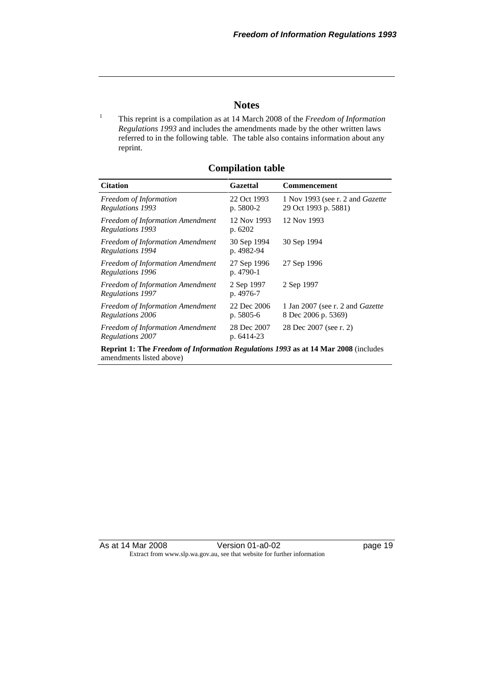#### **Notes**

 This reprint is a compilation as at 14 March 2008 of the *Freedom of Information Regulations 1993* and includes the amendments made by the other written laws referred to in the following table. The table also contains information about any reprint.

1

| <b>Compilation table</b> |  |
|--------------------------|--|
|                          |  |

| <b>Citation</b>                                             | <b>Gazettal</b>           | Commencement                                                    |
|-------------------------------------------------------------|---------------------------|-----------------------------------------------------------------|
| Freedom of Information<br>Regulations 1993                  | 22 Oct 1993<br>p. 5800-2  | 1 Nov 1993 (see r. 2 and <i>Gazette</i><br>29 Oct 1993 p. 5881) |
| Freedom of Information Amendment<br>Regulations 1993        | 12 Nov 1993<br>p. 6202    | 12 Nov 1993                                                     |
| Freedom of Information Amendment<br>Regulations 1994        | 30 Sep 1994<br>p. 4982-94 | 30 Sep 1994                                                     |
| Freedom of Information Amendment<br>Regulations 1996        | 27 Sep 1996<br>p. 4790-1  | 27 Sep 1996                                                     |
| <b>Freedom of Information Amendment</b><br>Regulations 1997 | 2 Sep 1997<br>p. 4976-7   | 2 Sep 1997                                                      |
| Freedom of Information Amendment<br>Regulations 2006        | 22 Dec 2006<br>p. 5805-6  | 1 Jan 2007 (see r. 2 and <i>Gazette</i><br>8 Dec 2006 p. 5369)  |
| <b>Freedom of Information Amendment</b><br>Regulations 2007 | 28 Dec 2007<br>p. 6414-23 | 28 Dec 2007 (see r. 2)                                          |
|                                                             |                           |                                                                 |

**Reprint 1: The** *Freedom of Information Regulations 1993* **as at 14 Mar 2008** (includes amendments listed above)

As at 14 Mar 2008 Version 01-a0-02 page 19 Extract from www.slp.wa.gov.au, see that website for further information